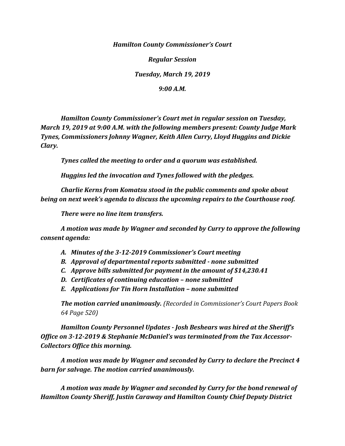*Hamilton County Commissioner's Court*

*Regular Session*

*Tuesday, March 19, 2019*

*9:00 A.M.*

*Hamilton County Commissioner's Court met in regular session on Tuesday, March 19, 2019 at 9:00 A.M. with the following members present: County Judge Mark Tynes, Commissioners Johnny Wagner, Keith Allen Curry, Lloyd Huggins and Dickie Clary.*

*Tynes called the meeting to order and a quorum was established.*

*Huggins led the invocation and Tynes followed with the pledges.*

*Charlie Kerns from Komatsu stood in the public comments and spoke about being on next week's agenda to discuss the upcoming repairs to the Courthouse roof.* 

*There were no line item transfers.*

*A motion was made by Wagner and seconded by Curry to approve the following consent agenda:*

- *A. Minutes of the 3-12-2019 Commissioner's Court meeting*
- *B. Approval of departmental reports submitted - none submitted*
- *C. Approve bills submitted for payment in the amount of \$14,230.41*
- *D. Certificates of continuing education – none submitted*
- *E. Applications for Tin Horn Installation – none submitted*

*The motion carried unanimously. (Recorded in Commissioner's Court Papers Book 64 Page 520)*

*Hamilton County Personnel Updates - Josh Beshears was hired at the Sheriff's Office on 3-12-2019 & Stephanie McDaniel's was terminated from the Tax Accessor-Collectors Office this morning.*

*A motion was made by Wagner and seconded by Curry to declare the Precinct 4 barn for salvage. The motion carried unanimously.*

*A motion was made by Wagner and seconded by Curry for the bond renewal of Hamilton County Sheriff, Justin Caraway and Hamilton County Chief Deputy District*